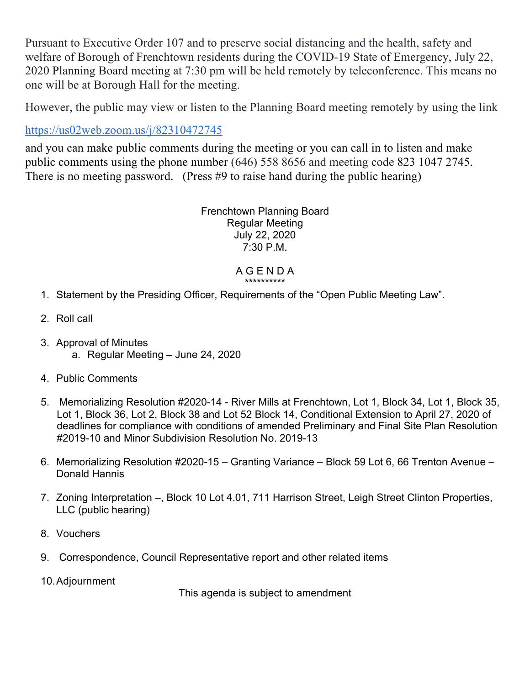Pursuant to Executive Order 107 and to preserve social distancing and the health, safety and welfare of Borough of Frenchtown residents during the COVID-19 State of Emergency, July 22, 2020 Planning Board meeting at 7:30 pm will be held remotely by teleconference. This means no one will be at Borough Hall for the meeting.

However, the public may view or listen to the Planning Board meeting remotely by using the link

## https://us02web.zoom.us/j/82310472745

and you can make public comments during the meeting or you can call in to listen and make public comments using the phone number (646) 558 8656 and meeting code 823 1047 2745. There is no meeting password. (Press #9 to raise hand during the public hearing)

> Frenchtown Planning Board Regular Meeting July 22, 2020 7:30 P.M.

## A G E N D A \*\*\*\*\*\*\*\*\*\*

- 1. Statement by the Presiding Officer, Requirements of the "Open Public Meeting Law".
- 2. Roll call
- 3. Approval of Minutes a. Regular Meeting – June 24, 2020
- 4. Public Comments
- 5. Memorializing Resolution #2020-14 River Mills at Frenchtown, Lot 1, Block 34, Lot 1, Block 35, Lot 1, Block 36, Lot 2, Block 38 and Lot 52 Block 14, Conditional Extension to April 27, 2020 of deadlines for compliance with conditions of amended Preliminary and Final Site Plan Resolution #2019-10 and Minor Subdivision Resolution No. 2019-13
- 6. Memorializing Resolution #2020-15 Granting Variance Block 59 Lot 6, 66 Trenton Avenue Donald Hannis
- 7. Zoning Interpretation –, Block 10 Lot 4.01, 711 Harrison Street, Leigh Street Clinton Properties, LLC (public hearing)
- 8. Vouchers
- 9. Correspondence, Council Representative report and other related items
- 10.Adjournment

This agenda is subject to amendment